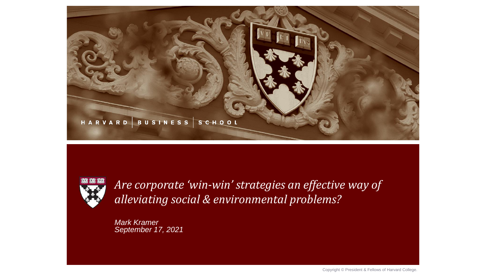



*Are corporate 'win-win' strategies an effective way of alleviating social & environmental problems?*

*Mark Kramer September 17, 2021*

Copyright © President & Fellows of Harvard College.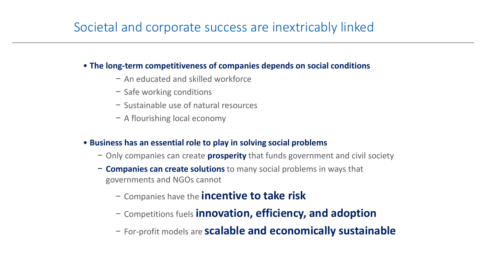## Societal and corporate success are inextricably linked

#### • **The long-term competitiveness of companies depends on social conditions**

- − An educated and skilled workforce
- − Safe working conditions
- − Sustainable use of natural resources
- − A flourishing local economy

#### • **Business has an essential role to play in solving social problems**

- − Only companies can create **prosperity** that funds government and civil society
- − **Companies can create solutions** to many social problems in ways that governments and NGOs cannot
	- − Companies have the **incentive to take risk**
	- − Competitions fuels **innovation, efficiency, and adoption**
	- − For-profit models are **scalable and economically sustainable**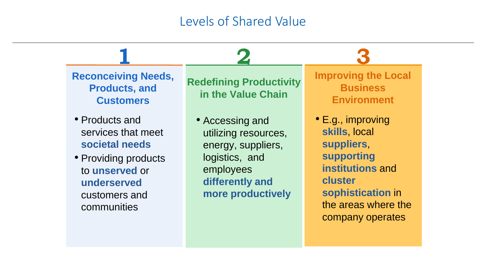## Levels of Shared Value

**Reconceiving Needs, Products, and Customers**

**1**

- Products and services that meet **societal needs**
- Providing products to **unserved** or **underserved**  customers and communities

**Redefining Productivity in the Value Chain**

**2**

• Accessing and utilizing resources, energy, suppliers, logistics, and employees **differently and more productively** **Improving the Local Business Environment**

**3**

• E.g., improving **skills**, local **suppliers**, **supporting institutions** and **cluster sophistication** in the areas where the company operates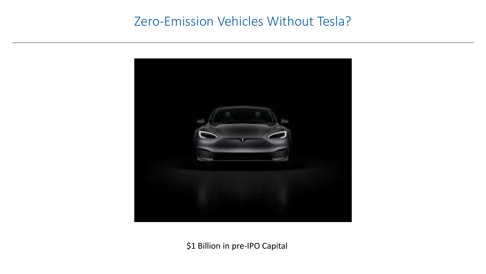## Zero-Emission Vehicles Without Tesla?



\$1 Billion in pre-IPO Capital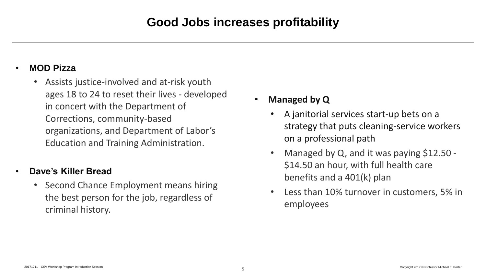## **Good Jobs increases profitability**

#### • **MOD Pizza**

• Assists justice-involved and at-risk youth ages 18 to 24 to reset their lives - developed in concert with the Department of Corrections, community-based organizations, and Department of Labor's Education and Training Administration.

### • **Dave's Killer Bread**

• Second Chance Employment means hiring the best person for the job, regardless of criminal history.

- **Managed by Q**
	- A janitorial services start-up bets on a strategy that puts cleaning-service workers on a professional path
	- Managed by Q, and it was paying \$12.50 -\$14.50 an hour, with full health care benefits and a 401(k) plan
	- Less than 10% turnover in customers, 5% in employees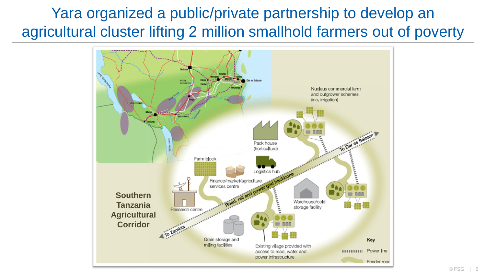# Yara organized a public/private partnership to develop an agricultural cluster lifting 2 million smallhold farmers out of poverty

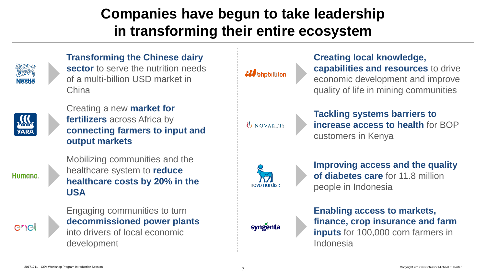# **Companies have begun to take leadership in transforming their entire ecosystem**



### **Transforming the Chinese dairy**

**sector** to serve the nutrition needs of a multi-billion USD market in China



Creating a new **market for fertilizers** across Africa by **connecting farmers to input and output markets**

Mobilizing communities and the healthcare system to **reduce healthcare costs by 20% in the USA** 



**Humana** 

Engaging communities to turn **decommissioned power plants**  into drivers of local economic development

*SI* bhpbilliton

**Creating local knowledge, capabilities and resources** to drive economic development and improve quality of life in mining communities

**UNOVARTIS** 

**Tackling systems barriers to increase access to health** for BOP customers in Kenya

novo nordisk

**Improving access and the quality of diabetes care** for 11.8 million people in Indonesia



**Enabling access to markets, finance, crop insurance and farm inputs** for 100,000 corn farmers in Indonesia